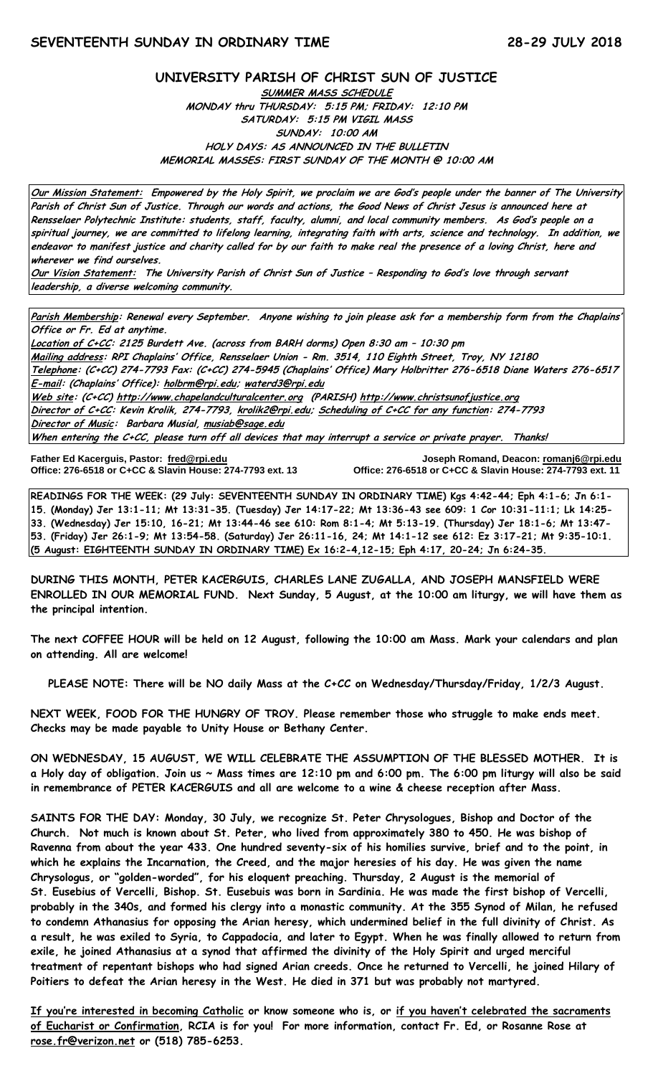# **UNIVERSITY PARISH OF CHRIST SUN OF JUSTICE SUMMER MASS SCHEDULE MONDAY thru THURSDAY: 5:15 PM; FRIDAY: 12:10 PM SATURDAY: 5:15 PM VIGIL MASS SUNDAY: 10:00 AM**

**HOLY DAYS: AS ANNOUNCED IN THE BULLETIN MEMORIAL MASSES: FIRST SUNDAY OF THE MONTH @ 10:00 AM**

**Our Mission Statement: Empowered by the Holy Spirit, we proclaim we are God's people under the banner of The University Parish of Christ Sun of Justice. Through our words and actions, the Good News of Christ Jesus is announced here at Rensselaer Polytechnic Institute: students, staff, faculty, alumni, and local community members. As God's people on a spiritual journey, we are committed to lifelong learning, integrating faith with arts, science and technology. In addition, we endeavor to manifest justice and charity called for by our faith to make real the presence of a loving Christ, here and wherever we find ourselves.**

**Our Vision Statement: The University Parish of Christ Sun of Justice – Responding to God's love through servant leadership, a diverse welcoming community.**

**Parish Membership: Renewal every September. Anyone wishing to join please ask for a membership form from the Chaplains' Office or Fr. Ed at anytime.**

**Location of C+CC: 2125 Burdett Ave. (across from BARH dorms) Open 8:30 am – 10:30 pm Mailing address: RPI Chaplains' Office, Rensselaer Union - Rm. 3514, 110 Eighth Street, Troy, NY 12180 Telephone: (C+CC) 274-7793 Fax: (C+CC) 274-5945 (Chaplains' Office) Mary Holbritter 276-6518 Diane Waters 276-6517 E-mail: (Chaplains' Office): [holbrm@rpi.edu;](mailto:holbrm@rpi.edu) waterd3@rpi.edu Web site: (C+CC[\) http://www.chapelandculturalcenter.org](http://www.chapelandculturalcenter.org/) (PARISH) http://www.christsunofjustice.org Director of C+CC: Kevin Krolik, 274-7793, krolik2@rpi.edu; Scheduling of C+CC for any function: 274-7793 Director of Music: Barbara Musial, [musiab@sage.edu](mailto:musiab@sage.edu) When entering the C+CC, please turn off all devices that may interrupt a service or private prayer. Thanks!** 

**Office: 276-6518 or C+CC & Slavin House: 274-7793 ext. 13** 

**Father Ed Kacerguis, Pastor: [fred@rpi.edu](mailto:fred@rpi.edu) Joseph Romand, Deacon[: romanj6@rpi.edu](mailto:romanj6@rpi.edu)**

**READINGS FOR THE WEEK: (29 July: SEVENTEENTH SUNDAY IN ORDINARY TIME) Kgs 4:42-44; Eph 4:1-6; Jn 6:1- 15. (Monday) Jer 13:1-11; Mt 13:31-35. (Tuesday) Jer 14:17-22; Mt 13:36-43 see 609: 1 Cor 10:31-11:1; Lk 14:25- 33. (Wednesday) Jer 15:10, 16-21; Mt 13:44-46 see 610: Rom 8:1-4; Mt 5:13-19. (Thursday) Jer 18:1-6; Mt 13:47- 53. (Friday) Jer 26:1-9; Mt 13:54-58. (Saturday) Jer 26:11-16, 24; Mt 14:1-12 see 612: Ez 3:17-21; Mt 9:35-10:1. (5 August: EIGHTEENTH SUNDAY IN ORDINARY TIME) Ex 16:2-4,12-15; Eph 4:17, 20-24; Jn 6:24-35.**

**DURING THIS MONTH, PETER KACERGUIS, CHARLES LANE ZUGALLA, AND JOSEPH MANSFIELD WERE ENROLLED IN OUR MEMORIAL FUND. Next Sunday, 5 August, at the 10:00 am liturgy, we will have them as the principal intention.**

**The next COFFEE HOUR will be held on 12 August, following the 10:00 am Mass. Mark your calendars and plan on attending. All are welcome!**

**PLEASE NOTE: There will be NO daily Mass at the C+CC on Wednesday/Thursday/Friday, 1/2/3 August.**

**NEXT WEEK, FOOD FOR THE HUNGRY OF TROY. Please remember those who struggle to make ends meet. Checks may be made payable to Unity House or Bethany Center.**

**ON WEDNESDAY, 15 AUGUST, WE WILL CELEBRATE THE ASSUMPTION OF THE BLESSED MOTHER. It is a Holy day of obligation. Join us ~ Mass times are 12:10 pm and 6:00 pm. The 6:00 pm liturgy will also be said in remembrance of PETER KACERGUIS and all are welcome to a wine & cheese reception after Mass.** 

**SAINTS FOR THE DAY: Monday, 30 July, we recognize St. Peter Chrysologues, Bishop and Doctor of the Church. Not much is known about St. Peter, who lived from approximately 380 to 450. He was bishop of Ravenna from about the year 433. One hundred seventy-six of his homilies survive, brief and to the point, in which he explains the Incarnation, the Creed, and the major heresies of his day. He was given the name Chrysologus, or "golden-worded", for his eloquent preaching. Thursday, 2 August is the memorial of St. Eusebius of Vercelli, Bishop. St. Eusebuis was born in Sardinia. He was made the first bishop of Vercelli, probably in the 340s, and formed his clergy into a monastic community. At the 355 Synod of Milan, he refused to condemn Athanasius for opposing the Arian heresy, which undermined belief in the full divinity of Christ. As a result, he was exiled to Syria, to Cappadocia, and later to Egypt. When he was finally allowed to return from exile, he joined Athanasius at a synod that affirmed the divinity of the Holy Spirit and urged merciful treatment of repentant bishops who had signed Arian creeds. Once he returned to Vercelli, he joined Hilary of Poitiers to defeat the Arian heresy in the West. He died in 371 but was probably not martyred.** 

**If you're interested in becoming Catholic or know someone who is, or if you haven't celebrated the sacraments of Eucharist or Confirmation, RCIA is for you! For more information, contact Fr. Ed, or Rosanne Rose at [rose.fr@verizon.net](mailto:rose.fr@verizon.net) or (518) 785-6253.**